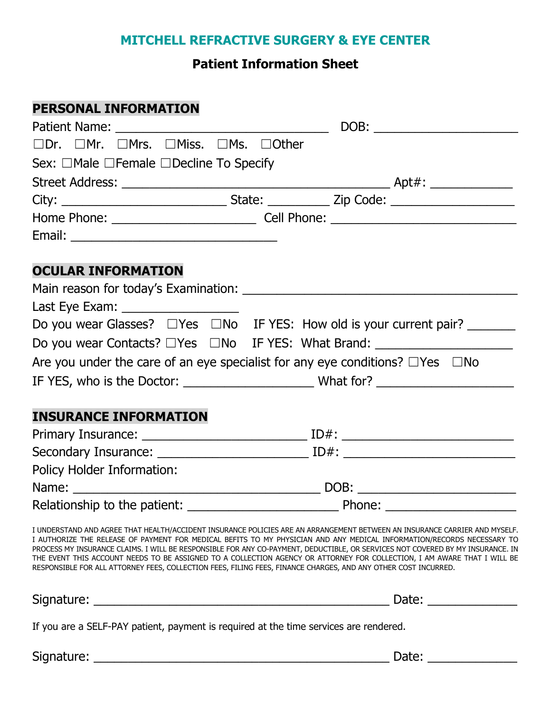## **MITCHELL REFRACTIVE SURGERY & EYE CENTER**

## **Patient Information Sheet**

### **PERSONAL INFORMATION**

|                                                                                          | DOB: __________________________ |  |
|------------------------------------------------------------------------------------------|---------------------------------|--|
| □Dr. □Mr. □Mrs. □Miss. □Ms. □Other                                                       |                                 |  |
| Sex: $\Box$ Male $\Box$ Female $\Box$ Decline To Specify                                 |                                 |  |
|                                                                                          |                                 |  |
|                                                                                          |                                 |  |
|                                                                                          |                                 |  |
|                                                                                          |                                 |  |
|                                                                                          |                                 |  |
| <b>OCULAR INFORMATION</b>                                                                |                                 |  |
|                                                                                          |                                 |  |
| Last Eye Exam: _____________________                                                     |                                 |  |
| Do you wear Glasses? □ Yes □ No IF YES: How old is your current pair? _______            |                                 |  |
| Do you wear Contacts? □ Yes □ No IF YES: What Brand: __________________________          |                                 |  |
| Are you under the care of an eye specialist for any eye conditions? $\Box$ Yes $\Box$ No |                                 |  |
|                                                                                          |                                 |  |
|                                                                                          |                                 |  |
| <b>INSURANCE INFORMATION</b>                                                             |                                 |  |
|                                                                                          |                                 |  |
|                                                                                          |                                 |  |
| Policy Holder Information:                                                               |                                 |  |
|                                                                                          |                                 |  |
|                                                                                          |                                 |  |

I UNDERSTAND AND AGREE THAT HEALTH/ACCIDENT INSURANCE POLICIES ARE AN ARRANGEMENT BETWEEN AN INSURANCE CARRIER AND MYSELF. I AUTHORIZE THE RELEASE OF PAYMENT FOR MEDICAL BEFITS TO MY PHYSICIAN AND ANY MEDICAL INFORMATION/RECORDS NECESSARY TO PROCESS MY INSURANCE CLAIMS. I WILL BE RESPONSIBLE FOR ANY CO-PAYMENT, DEDUCTIBLE, OR SERVICES NOT COVERED BY MY INSURANCE. IN THE EVENT THIS ACCOUNT NEEDS TO BE ASSIGNED TO A COLLECTION AGENCY OR ATTORNEY FOR COLLECTION, I AM AWARE THAT I WILL BE RESPONSIBLE FOR ALL ATTORNEY FEES, COLLECTION FEES, FILING FEES, FINANCE CHARGES, AND ANY OTHER COST INCURRED.

Signature: \_\_\_\_\_\_\_\_\_\_\_\_\_\_\_\_\_\_\_\_\_\_\_\_\_\_\_\_\_\_\_\_\_\_\_\_\_\_\_\_\_\_\_ Date: \_\_\_\_\_\_\_\_\_\_\_\_\_

If you are a SELF-PAY patient, payment is required at the time services are rendered.

Signature: \_\_\_\_\_\_\_\_\_\_\_\_\_\_\_\_\_\_\_\_\_\_\_\_\_\_\_\_\_\_\_\_\_\_\_\_\_\_\_\_\_\_\_ Date: \_\_\_\_\_\_\_\_\_\_\_\_\_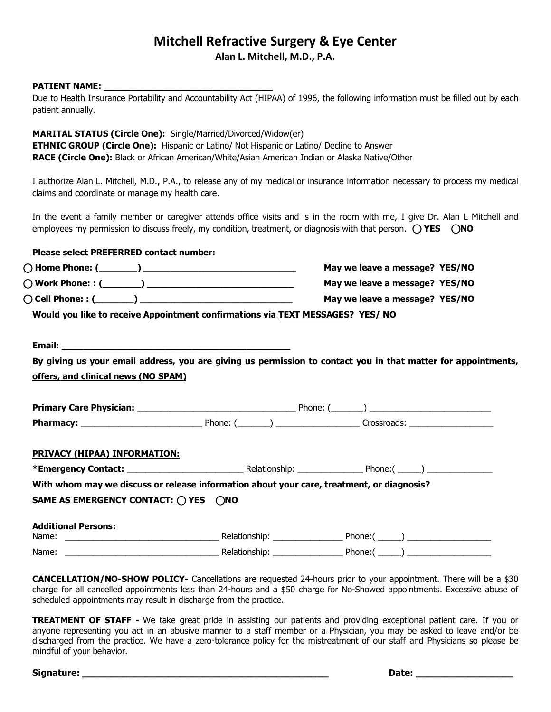# **Mitchell Refractive Surgery & Eye Center**

**Alan L. Mitchell, M.D., P.A.**

#### **PATIENT NAME:**

Due to Health Insurance Portability and Accountability Act (HIPAA) of 1996, the following information must be filled out by each patient annually.

#### **MARITAL STATUS (Circle One):** Single/Married/Divorced/Widow(er)

**ETHNIC GROUP (Circle One):** Hispanic or Latino/ Not Hispanic or Latino/ Decline to Answer **RACE (Circle One):** Black or African American/White/Asian American Indian or Alaska Native/Other

I authorize Alan L. Mitchell, M.D., P.A., to release any of my medical or insurance information necessary to process my medical claims and coordinate or manage my health care.

In the event a family member or caregiver attends office visits and is in the room with me, I give Dr. Alan L Mitchell and employees my permission to discuss freely, my condition, treatment, or diagnosis with that person.⃝**YES** ⃝**NO**

## **Please select PREFERRED contact number:** ⃝**Home Phone: (\_\_\_\_\_\_\_) \_\_\_\_\_\_\_\_\_\_\_\_\_\_\_\_\_\_\_\_\_\_\_\_\_\_\_\_ May we leave a message? YES/NO** ⃝**Work Phone: : (\_\_\_\_\_\_\_) \_\_\_\_\_\_\_\_\_\_\_\_\_\_\_\_\_\_\_\_\_\_\_\_\_\_\_ May we leave a message? YES/NO** ⃝**Cell Phone: : (\_\_\_\_\_\_\_) \_\_\_\_\_\_\_\_\_\_\_\_\_\_\_\_\_\_\_\_\_\_\_\_\_\_\_\_ May we leave a message? YES/NO Would you like to receive Appointment confirmations via TEXT MESSAGES? YES/ NO Email: \_\_\_\_\_\_\_\_\_\_\_\_\_\_\_\_\_\_\_\_\_\_\_\_\_\_\_\_\_\_\_\_\_\_\_\_\_\_\_\_\_\_ By giving us your email address, you are giving us permission to contact you in that matter for appointments, offers, and clinical news (NO SPAM) Primary Care Physician:** \_\_\_\_\_\_\_\_\_\_\_\_\_\_\_\_\_\_\_\_\_\_\_\_\_\_\_\_\_\_\_\_\_\_ Phone: (\_\_\_\_\_\_\_) \_\_\_\_\_\_\_\_\_\_\_\_\_\_\_\_\_\_\_\_\_\_\_\_\_\_ **Pharmacy:** \_\_\_\_\_\_\_\_\_\_\_\_\_\_\_\_\_\_\_\_\_\_\_\_\_\_ Phone: (\_\_\_\_\_\_\_) \_\_\_\_\_\_\_\_\_\_\_\_\_\_\_\_\_\_ Crossroads: \_\_\_\_\_\_\_\_\_\_\_\_\_\_\_\_\_\_ **PRIVACY (HIPAA) INFORMATION: \*Emergency Contact:** \_\_\_\_\_\_\_\_\_\_\_\_\_\_\_\_\_\_\_\_\_\_\_\_\_ Relationship: \_\_\_\_\_\_\_\_\_\_\_\_\_\_ Phone:( \_\_\_\_\_) \_\_\_\_\_\_\_\_\_\_\_\_\_\_ **With whom may we discuss or release information about your care, treatment, or diagnosis? SAME AS EMERGENCY CONTACT:** ⃝**YES** ⃝**NO Additional Persons:** Name: \_\_\_\_\_\_\_\_\_\_\_\_\_\_\_\_\_\_\_\_\_\_\_\_\_\_\_\_\_\_\_\_\_ Relationship: \_\_\_\_\_\_\_\_\_\_\_\_\_\_\_ Phone:( \_\_\_\_\_) \_\_\_\_\_\_\_\_\_\_\_\_\_\_\_\_\_\_ Name: \_\_\_\_\_\_\_\_\_\_\_\_\_\_\_\_\_\_\_\_\_\_\_\_\_\_\_\_\_\_\_\_\_ Relationship: \_\_\_\_\_\_\_\_\_\_\_\_\_\_\_ Phone:( \_\_\_\_\_) \_\_\_\_\_\_\_\_\_\_\_\_\_\_\_\_\_\_

**CANCELLATION/NO-SHOW POLICY-** Cancellations are requested 24-hours prior to your appointment. There will be a \$30 charge for all cancelled appointments less than 24-hours and a \$50 charge for No-Showed appointments. Excessive abuse of scheduled appointments may result in discharge from the practice.

**TREATMENT OF STAFF -** We take great pride in assisting our patients and providing exceptional patient care. If you or anyone representing you act in an abusive manner to a staff member or a Physician, you may be asked to leave and/or be discharged from the practice. We have a zero-tolerance policy for the mistreatment of our staff and Physicians so please be mindful of your behavior.

**Signature: \_\_\_\_\_\_\_\_\_\_\_\_\_\_\_\_\_\_\_\_\_\_\_\_\_\_\_\_\_\_\_\_\_\_\_\_\_\_\_\_\_\_\_ Date: \_\_\_\_\_\_\_\_\_\_\_\_\_\_\_\_\_**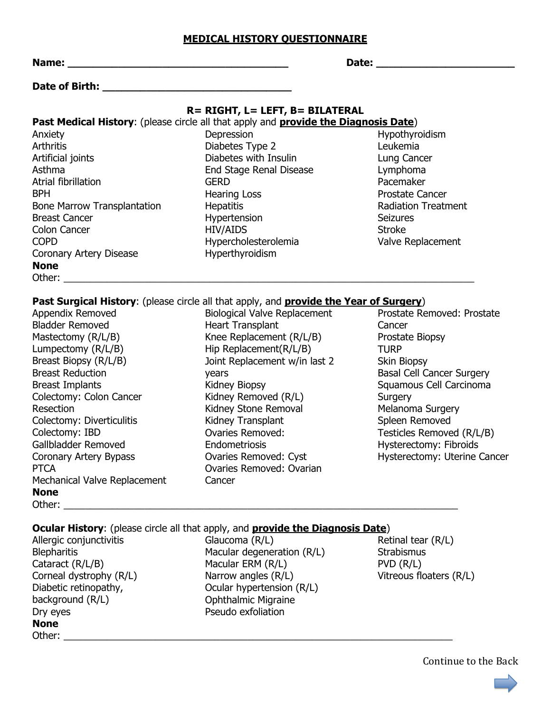#### **MEDICAL HISTORY QUESTIONNAIRE**

| <b>Name:</b><br><u> 2000 - Johann Amerikaanse kommunister († 2000)</u> |                                                                                               |                                  |
|------------------------------------------------------------------------|-----------------------------------------------------------------------------------------------|----------------------------------|
|                                                                        |                                                                                               |                                  |
|                                                                        | R= RIGHT, L= LEFT, B= BILATERAL                                                               |                                  |
|                                                                        | Past Medical History: (please circle all that apply and provide the Diagnosis Date)           |                                  |
| Anxiety                                                                | Depression                                                                                    | Hypothyroidism                   |
| <b>Arthritis</b>                                                       | Diabetes Type 2                                                                               | Leukemia                         |
| Artificial joints                                                      | Diabetes with Insulin                                                                         | Lung Cancer                      |
| Asthma                                                                 | End Stage Renal Disease                                                                       | Lymphoma                         |
| Atrial fibrillation                                                    | <b>GERD</b>                                                                                   | Pacemaker                        |
| <b>BPH</b>                                                             | <b>Hearing Loss</b>                                                                           | <b>Prostate Cancer</b>           |
| <b>Bone Marrow Transplantation</b>                                     | <b>Hepatitis</b>                                                                              | <b>Radiation Treatment</b>       |
| <b>Breast Cancer</b>                                                   | Hypertension                                                                                  | <b>Seizures</b>                  |
| <b>Colon Cancer</b>                                                    | <b>HIV/AIDS</b>                                                                               | <b>Stroke</b>                    |
| <b>COPD</b>                                                            | Hypercholesterolemia                                                                          | Valve Replacement                |
| Coronary Artery Disease                                                | Hyperthyroidism                                                                               |                                  |
| <b>None</b>                                                            |                                                                                               |                                  |
| Other: <u>www.communications.communications.com</u>                    |                                                                                               |                                  |
|                                                                        | Past Surgical History: (please circle all that apply, and provide the Year of Surgery)        |                                  |
| Appendix Removed                                                       | <b>Biological Valve Replacement</b>                                                           | Prostate Removed: Prostate       |
| <b>Bladder Removed</b>                                                 | <b>Heart Transplant</b>                                                                       | Cancer                           |
| Mastectomy (R/L/B)                                                     | Knee Replacement (R/L/B)                                                                      | Prostate Biopsy                  |
| Lumpectomy (R/L/B)                                                     | Hip Replacement(R/L/B)                                                                        | <b>TURP</b>                      |
| Breast Biopsy (R/L/B)                                                  | Joint Replacement w/in last 2                                                                 | Skin Biopsy                      |
| <b>Breast Reduction</b>                                                | years                                                                                         | <b>Basal Cell Cancer Surgery</b> |
| <b>Breast Implants</b>                                                 | Kidney Biopsy                                                                                 | Squamous Cell Carcinoma          |
| Colectomy: Colon Cancer                                                | Kidney Removed (R/L)                                                                          | Surgery                          |
| Resection                                                              | Kidney Stone Removal                                                                          | Melanoma Surgery                 |
| Colectomy: Diverticulitis                                              | Kidney Transplant                                                                             | Spleen Removed                   |
| Colectomy: IBD                                                         | <b>Ovaries Removed:</b>                                                                       | Testicles Removed (R/L/B)        |
| Gallbladder Removed                                                    | Endometriosis                                                                                 | Hysterectomy: Fibroids           |
| Coronary Artery Bypass                                                 | Ovaries Removed: Cyst                                                                         | Hysterectomy: Uterine Cancer     |
| <b>PTCA</b>                                                            | Ovaries Removed: Ovarian                                                                      |                                  |
| Mechanical Valve Replacement                                           | Cancer                                                                                        |                                  |
| <b>None</b>                                                            |                                                                                               |                                  |
|                                                                        |                                                                                               |                                  |
|                                                                        |                                                                                               |                                  |
|                                                                        | <b>Ocular History:</b> (please circle all that apply, and <b>provide the Diagnosis Date</b> ) |                                  |
| Allergic conjunctivitis                                                | Glaucoma (R/L)                                                                                | Retinal tear (R/L)               |
| <b>Blepharitis</b>                                                     | Macular degeneration (R/L)                                                                    | <b>Strabismus</b>                |
| Cataract (R/L/B)                                                       | Macular ERM (R/L)                                                                             | $PVD$ $(R/L)$                    |

Narrow angles (R/L) Ocular hypertension (R/L) Ophthalmic Migraine Pseudo exfoliation

Corneal dystrophy (R/L) Diabetic retinopathy, background (R/L)

Other: \_\_\_\_\_\_\_\_\_\_\_\_\_\_\_\_\_\_\_\_\_\_\_\_\_\_\_\_\_\_\_\_\_\_\_\_\_\_\_\_\_\_\_\_\_\_\_\_\_\_\_\_\_\_\_\_\_\_\_\_\_\_\_\_\_\_\_\_\_\_\_\_

Dry eyes

**None**

PVD (R/L) Vitreous floaters (R/L)

Continue to the Back

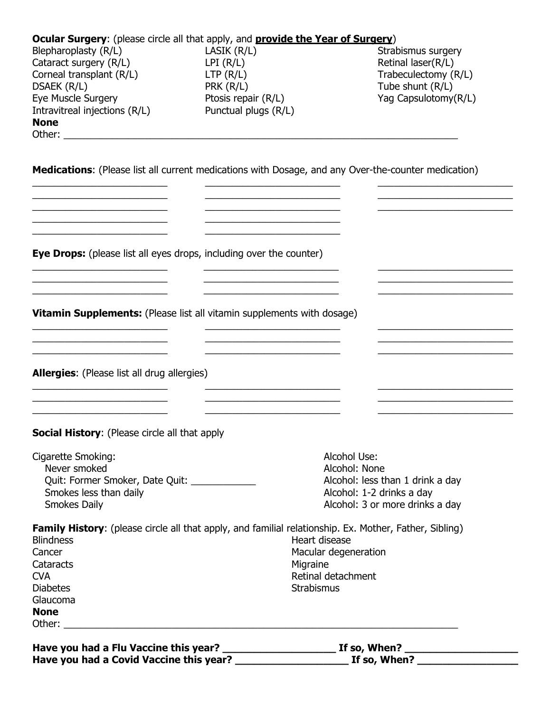|                                                                                                                      |                                                                                                               | If so, When? $\sqrt{ }$                    |
|----------------------------------------------------------------------------------------------------------------------|---------------------------------------------------------------------------------------------------------------|--------------------------------------------|
|                                                                                                                      |                                                                                                               |                                            |
| Glaucoma<br><b>None</b>                                                                                              |                                                                                                               |                                            |
| <b>Diabetes</b>                                                                                                      | <b>Strabismus</b>                                                                                             |                                            |
| Cataracts<br><b>CVA</b>                                                                                              | Migraine<br>Retinal detachment                                                                                |                                            |
| Cancer                                                                                                               | Macular degeneration                                                                                          |                                            |
| <b>Blindness</b>                                                                                                     | Heart disease                                                                                                 |                                            |
|                                                                                                                      | <b>Family History:</b> (please circle all that apply, and familial relationship. Ex. Mother, Father, Sibling) |                                            |
| Smokes Daily                                                                                                         |                                                                                                               | Alcohol: 3 or more drinks a day            |
| Smokes less than daily                                                                                               |                                                                                                               | Alcohol: 1-2 drinks a day                  |
| Quit: Former Smoker, Date Quit: _____________                                                                        |                                                                                                               | Alcohol: less than 1 drink a day           |
| Cigarette Smoking:<br>Never smoked                                                                                   | Alcohol Use:<br>Alcohol: None                                                                                 |                                            |
| Social History: (Please circle all that apply                                                                        |                                                                                                               |                                            |
|                                                                                                                      |                                                                                                               |                                            |
| <b>Allergies:</b> (Please list all drug allergies)                                                                   |                                                                                                               |                                            |
|                                                                                                                      |                                                                                                               |                                            |
| <u> 1980 - Johann John Stone, markin fan it ferstjer fan de ferstjer fan it ferstjer fan it ferstjer fan it fers</u> |                                                                                                               |                                            |
| Vitamin Supplements: (Please list all vitamin supplements with dosage)                                               |                                                                                                               |                                            |
|                                                                                                                      |                                                                                                               |                                            |
| <b>Eye Drops:</b> (please list all eyes drops, including over the counter)                                           |                                                                                                               |                                            |
|                                                                                                                      |                                                                                                               |                                            |
|                                                                                                                      |                                                                                                               |                                            |
|                                                                                                                      | Medications: (Please list all current medications with Dosage, and any Over-the-counter medication)           |                                            |
| <b>None</b>                                                                                                          |                                                                                                               |                                            |
| Eye Muscle Surgery<br>Intravitreal injections (R/L)                                                                  | Ptosis repair (R/L)<br>Punctual plugs (R/L)                                                                   | Yag Capsulotomy(R/L)                       |
| DSAEK (R/L)                                                                                                          | PRK (R/L)                                                                                                     | Tube shunt (R/L)                           |
| Cataract surgery (R/L)<br>Corneal transplant (R/L)                                                                   | LPI(R/L)<br>LTP(R/L)                                                                                          | Retinal laser(R/L)<br>Trabeculectomy (R/L) |
| Blepharoplasty (R/L)                                                                                                 | LASIK $(R/L)$                                                                                                 | Strabismus surgery                         |
|                                                                                                                      | Ocular Surgery: (please circle all that apply, and provide the Year of Surgery)                               |                                            |